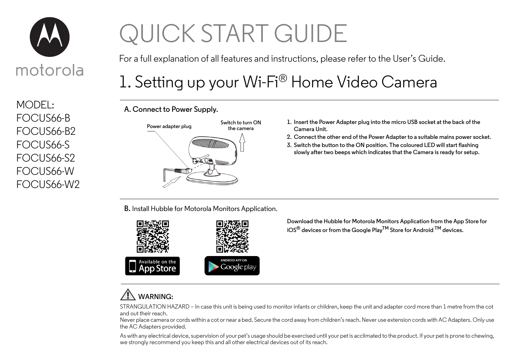

MODEL: FOCUS66-B FOCUS66-B2 FOCUS66-S FOCUS66-S2 FOCUS66-W FOCUS66-W2

# QUICK START GUIDE

For a full explanation of all features and instructions, please refer to the User's Guide.

# 1. Setting up your Wi-Fi® Home Video Camera

**A. Connect to Power Supply.**



- **1. Insert the Power Adapter plug into the micro USB socket at the back of the Camera Unit.**
- **2. Connect the other end of the Power Adapter to a suitable mains power socket.**
- **3. Switch the button to the ON position. The coloured LED will start flashing slowly after two beeps which indicates that the Camera is ready for setup.**

**B.** Install Hubble for Motorola Monitors Application.



**Download the Hubble for Motorola Monitors Application from the App Store for iOS® devices or from the Google PlayTM Store for Android TM devices.**

### **WARNING:**

STRANGULATION HAZARD – In case this unit is being used to monitor infants or children, keep the unit and adapter cord more than 1 metre from the cot and out their reach.

Never place camera or cords within a cot or near a bed. Secure the cord away from children's reach. Never use extension cords with AC Adapters. Only use the AC Adapters provided.

As with any electrical device, supervision of your pet's usage should be exercised until your pet is acclimated to the product. If your pet is prone to chewing, we strongly recommend you keep this and all other electrical devices out of its reach.